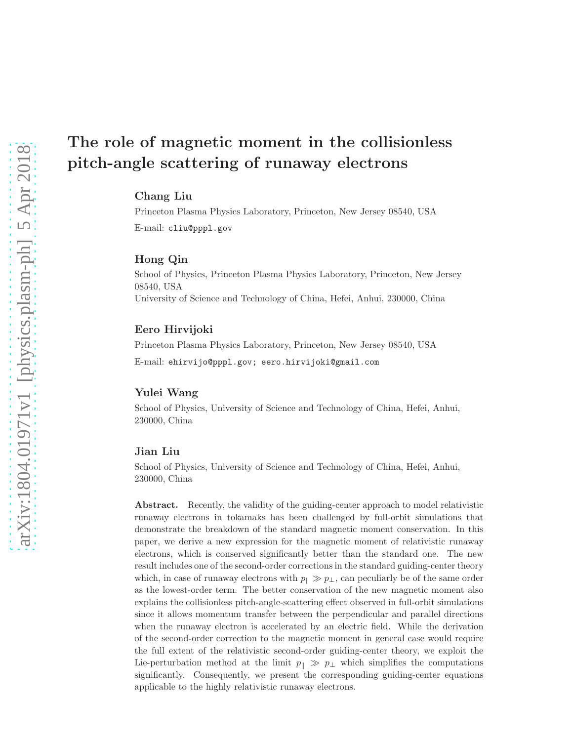# The role of magnetic moment in the collisionless pitch-angle scattering of runaway electrons

#### Chang Liu

Princeton Plasma Physics Laboratory, Princeton, New Jersey 08540, USA E-mail: cliu@pppl.gov

#### Hong Qin

School of Physics, Princeton Plasma Physics Laboratory, Princeton, New Jersey 08540, USA University of Science and Technology of China, Hefei, Anhui, 230000, China

#### Eero Hirvijoki

Princeton Plasma Physics Laboratory, Princeton, New Jersey 08540, USA

E-mail: ehirvijo@pppl.gov; eero.hirvijoki@gmail.com

#### Yulei Wang

School of Physics, University of Science and Technology of China, Hefei, Anhui, 230000, China

#### Jian Liu

School of Physics, University of Science and Technology of China, Hefei, Anhui, 230000, China

Abstract. Recently, the validity of the guiding-center approach to model relativistic runaway electrons in tokamaks has been challenged by full-orbit simulations that demonstrate the breakdown of the standard magnetic moment conservation. In this paper, we derive a new expression for the magnetic moment of relativistic runaway electrons, which is conserved significantly better than the standard one. The new result includes one of the second-order corrections in the standard guiding-center theory which, in case of runaway electrons with  $p_{\parallel} \gg p_{\perp}$ , can peculiarly be of the same order as the lowest-order term. The better conservation of the new magnetic moment also explains the collisionless pitch-angle-scattering effect observed in full-orbit simulations since it allows momentum transfer between the perpendicular and parallel directions when the runaway electron is accelerated by an electric field. While the derivation of the second-order correction to the magnetic moment in general case would require the full extent of the relativistic second-order guiding-center theory, we exploit the Lie-perturbation method at the limit  $p_{\parallel} \gg p_{\perp}$  which simplifies the computations significantly. Consequently, we present the corresponding guiding-center equations applicable to the highly relativistic runaway electrons.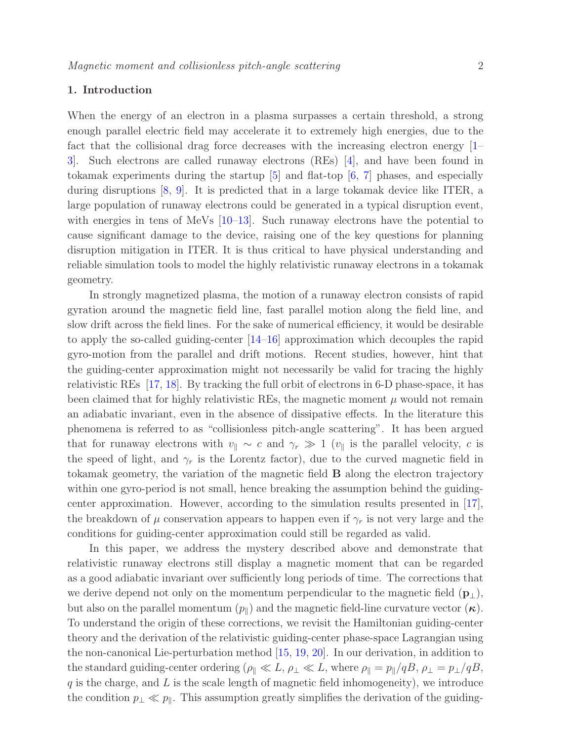#### 1. Introduction

When the energy of an electron in a plasma surpasses a certain threshold, a strong enough parallel electric field may accelerate it to extremely high energies, due to the fact that the collisional drag force decreases with the increasing electron energy  $[1-$ [3\]](#page-15-1). Such electrons are called runaway electrons (REs) [\[4\]](#page-15-2), and have been found in tokamak experiments during the startup [\[5](#page-15-3)] and flat-top [\[6,](#page-15-4) [7](#page-15-5)] phases, and especially during disruptions [\[8](#page-15-6), [9](#page-15-7)]. It is predicted that in a large tokamak device like ITER, a large population of runaway electrons could be generated in a typical disruption event, with energies in tens of MeVs  $[10-13]$ . Such runaway electrons have the potential to cause significant damage to the device, raising one of the key questions for planning disruption mitigation in ITER. It is thus critical to have physical understanding and reliable simulation tools to model the highly relativistic runaway electrons in a tokamak geometry.

In strongly magnetized plasma, the motion of a runaway electron consists of rapid gyration around the magnetic field line, fast parallel motion along the field line, and slow drift across the field lines. For the sake of numerical efficiency, it would be desirable to apply the so-called guiding-center  $[14-16]$  approximation which decouples the rapid gyro-motion from the parallel and drift motions. Recent studies, however, hint that the guiding-center approximation might not necessarily be valid for tracing the highly relativistic REs [\[17,](#page-16-1) [18\]](#page-16-2). By tracking the full orbit of electrons in 6-D phase-space, it has been claimed that for highly relativistic REs, the magnetic moment  $\mu$  would not remain an adiabatic invariant, even in the absence of dissipative effects. In the literature this phenomena is referred to as "collisionless pitch-angle scattering". It has been argued that for runaway electrons with  $v_{\parallel} \sim c$  and  $\gamma_r \gg 1$  ( $v_{\parallel}$  is the parallel velocity, c is the speed of light, and  $\gamma_r$  is the Lorentz factor), due to the curved magnetic field in tokamak geometry, the variation of the magnetic field B along the electron trajectory within one gyro-period is not small, hence breaking the assumption behind the guidingcenter approximation. However, according to the simulation results presented in [\[17](#page-16-1)], the breakdown of  $\mu$  conservation appears to happen even if  $\gamma_r$  is not very large and the conditions for guiding-center approximation could still be regarded as valid.

In this paper, we address the mystery described above and demonstrate that relativistic runaway electrons still display a magnetic moment that can be regarded as a good adiabatic invariant over sufficiently long periods of time. The corrections that we derive depend not only on the momentum perpendicular to the magnetic field  $(\mathbf{p}_{\perp}),$ but also on the parallel momentum  $(p_{\parallel})$  and the magnetic field-line curvature vector  $(\kappa)$ . To understand the origin of these corrections, we revisit the Hamiltonian guiding-center theory and the derivation of the relativistic guiding-center phase-space Lagrangian using the non-canonical Lie-perturbation method [\[15](#page-16-3), [19](#page-16-4), [20](#page-16-5)]. In our derivation, in addition to the standard guiding-center ordering ( $\rho_{\parallel} \ll L$ ,  $\rho_{\perp} \ll L$ , where  $\rho_{\parallel} = p_{\parallel}/qB$ ,  $\rho_{\perp} = p_{\perp}/qB$ ,  $q$  is the charge, and  $L$  is the scale length of magnetic field inhomogeneity), we introduce the condition  $p_{\perp} \ll p_{\parallel}$ . This assumption greatly simplifies the derivation of the guiding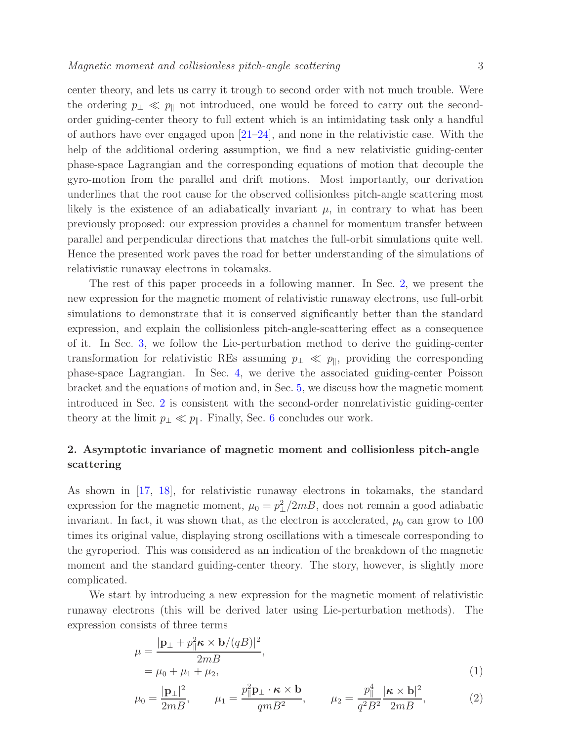center theory, and lets us carry it trough to second order with not much trouble. Were the ordering  $p_{\perp} \ll p_{\parallel}$  not introduced, one would be forced to carry out the secondorder guiding-center theory to full extent which is an intimidating task only a handful of authors have ever engaged upon  $[21-24]$ , and none in the relativistic case. With the help of the additional ordering assumption, we find a new relativistic guiding-center phase-space Lagrangian and the corresponding equations of motion that decouple the gyro-motion from the parallel and drift motions. Most importantly, our derivation underlines that the root cause for the observed collisionless pitch-angle scattering most likely is the existence of an adiabatically invariant  $\mu$ , in contrary to what has been previously proposed: our expression provides a channel for momentum transfer between parallel and perpendicular directions that matches the full-orbit simulations quite well. Hence the presented work paves the road for better understanding of the simulations of relativistic runaway electrons in tokamaks.

The rest of this paper proceeds in a following manner. In Sec. [2,](#page-2-0) we present the new expression for the magnetic moment of relativistic runaway electrons, use full-orbit simulations to demonstrate that it is conserved significantly better than the standard expression, and explain the collisionless pitch-angle-scattering effect as a consequence of it. In Sec. [3,](#page-5-0) we follow the Lie-perturbation method to derive the guiding-center transformation for relativistic REs assuming  $p_{\perp} \ll p_{\parallel}$ , providing the corresponding phase-space Lagrangian. In Sec. [4,](#page-10-0) we derive the associated guiding-center Poisson bracket and the equations of motion and, in Sec. [5,](#page-11-0) we discuss how the magnetic moment introduced in Sec. [2](#page-2-0) is consistent with the second-order nonrelativistic guiding-center theory at the limit  $p_{\perp} \ll p_{\parallel}$ . Finally, Sec. [6](#page-12-0) concludes our work.

## <span id="page-2-0"></span>2. Asymptotic invariance of magnetic moment and collisionless pitch-angle scattering

As shown in [\[17](#page-16-1), [18\]](#page-16-2), for relativistic runaway electrons in tokamaks, the standard expression for the magnetic moment,  $\mu_0 = p_\perp^2/2mB$ , does not remain a good adiabatic invariant. In fact, it was shown that, as the electron is accelerated,  $\mu_0$  can grow to 100 times its original value, displaying strong oscillations with a timescale corresponding to the gyroperiod. This was considered as an indication of the breakdown of the magnetic moment and the standard guiding-center theory. The story, however, is slightly more complicated.

We start by introducing a new expression for the magnetic moment of relativistic runaway electrons (this will be derived later using Lie-perturbation methods). The expression consists of three terms

<span id="page-2-1"></span>
$$
\mu = \frac{|\mathbf{p}_{\perp} + p_{\parallel}^2 \kappa \times \mathbf{b}/(qB)|^2}{2mB},
$$
  
=  $\mu_0 + \mu_1 + \mu_2,$  (1)

<span id="page-2-2"></span>
$$
\mu_0 = \frac{|\mathbf{p}_\perp|^2}{2mB}, \qquad \mu_1 = \frac{p_\parallel^2 \mathbf{p}_\perp \cdot \kappa \times \mathbf{b}}{qmB^2}, \qquad \mu_2 = \frac{p_\parallel^4}{q^2 B^2} \frac{|\kappa \times \mathbf{b}|^2}{2mB}, \tag{2}
$$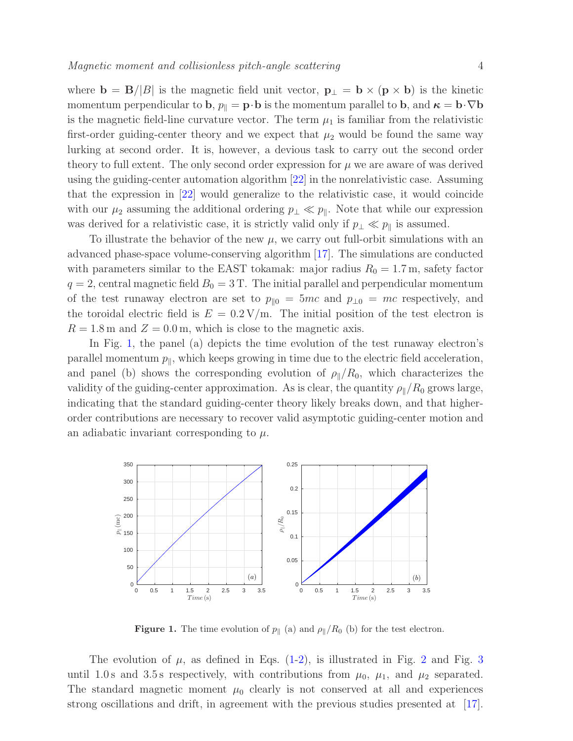where  $\mathbf{b} = \mathbf{B}/|B|$  is the magnetic field unit vector,  $\mathbf{p}_{\perp} = \mathbf{b} \times (\mathbf{p} \times \mathbf{b})$  is the kinetic momentum perpendicular to b,  $p_{\parallel} = \mathbf{p} \cdot \mathbf{b}$  is the momentum parallel to b, and  $\kappa = \mathbf{b} \cdot \nabla \mathbf{b}$ is the magnetic field-line curvature vector. The term  $\mu_1$  is familiar from the relativistic first-order guiding-center theory and we expect that  $\mu_2$  would be found the same way lurking at second order. It is, however, a devious task to carry out the second order theory to full extent. The only second order expression for  $\mu$  we are aware of was derived using the guiding-center automation algorithm [\[22\]](#page-16-8) in the nonrelativistic case. Assuming that the expression in [\[22](#page-16-8)] would generalize to the relativistic case, it would coincide with our  $\mu_2$  assuming the additional ordering  $p_\perp \ll p_\parallel$ . Note that while our expression was derived for a relativistic case, it is strictly valid only if  $p_{\perp} \ll p_{\parallel}$  is assumed.

To illustrate the behavior of the new  $\mu$ , we carry out full-orbit simulations with an advanced phase-space volume-conserving algorithm [\[17](#page-16-1)]. The simulations are conducted with parameters similar to the EAST tokamak: major radius  $R_0 = 1.7$  m, safety factor  $q = 2$ , central magnetic field  $B_0 = 3$  T. The initial parallel and perpendicular momentum of the test runaway electron are set to  $p_{\parallel 0} = 5mc$  and  $p_{\perp 0} = mc$  respectively, and the toroidal electric field is  $E = 0.2 \text{ V/m}$ . The initial position of the test electron is  $R = 1.8$  m and  $Z = 0.0$  m, which is close to the magnetic axis.

In Fig. [1,](#page-3-0) the panel (a) depicts the time evolution of the test runaway electron's parallel momentum  $p_{\parallel}$ , which keeps growing in time due to the electric field acceleration, and panel (b) shows the corresponding evolution of  $\rho_{\parallel}/R_0$ , which characterizes the validity of the guiding-center approximation. As is clear, the quantity  $\rho_{\parallel}/R_0$  grows large, indicating that the standard guiding-center theory likely breaks down, and that higherorder contributions are necessary to recover valid asymptotic guiding-center motion and an adiabatic invariant corresponding to  $\mu$ .



<span id="page-3-0"></span>**Figure 1.** The time evolution of  $p_{\parallel}$  (a) and  $\rho_{\parallel}/R_0$  (b) for the test electron.

The evolution of  $\mu$ , as defined in Eqs. [\(1-](#page-2-1)[2\)](#page-2-2), is illustrated in Fig. [2](#page-4-0) and Fig. [3](#page-4-1) until 1.0s and 3.5s respectively, with contributions from  $\mu_0$ ,  $\mu_1$ , and  $\mu_2$  separated. The standard magnetic moment  $\mu_0$  clearly is not conserved at all and experiences strong oscillations and drift, in agreement with the previous studies presented at [\[17](#page-16-1)].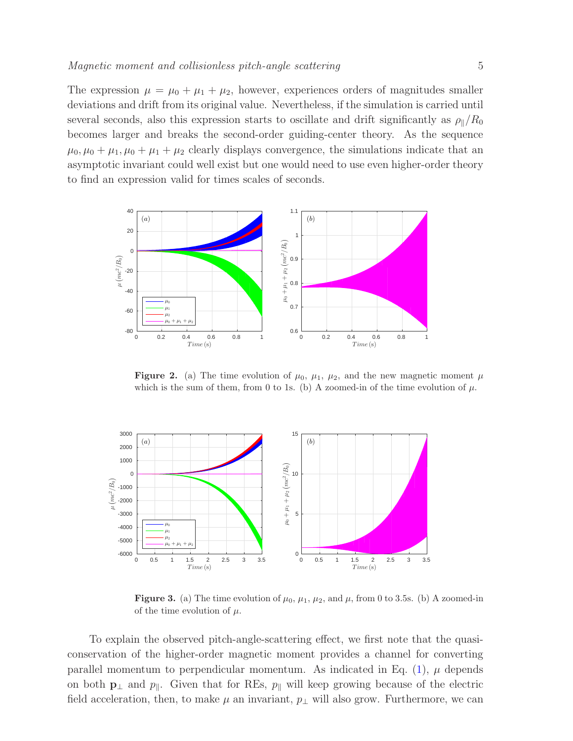The expression  $\mu = \mu_0 + \mu_1 + \mu_2$ , however, experiences orders of magnitudes smaller deviations and drift from its original value. Nevertheless, if the simulation is carried until several seconds, also this expression starts to oscillate and drift significantly as  $\rho_{\parallel}/R_0$ becomes larger and breaks the second-order guiding-center theory. As the sequence  $\mu_0, \mu_0 + \mu_1, \mu_0 + \mu_1 + \mu_2$  clearly displays convergence, the simulations indicate that an asymptotic invariant could well exist but one would need to use even higher-order theory to find an expression valid for times scales of seconds.



<span id="page-4-0"></span>**Figure 2.** (a) The time evolution of  $\mu_0$ ,  $\mu_1$ ,  $\mu_2$ , and the new magnetic moment  $\mu$ which is the sum of them, from 0 to 1s. (b) A zoomed-in of the time evolution of  $\mu$ .



<span id="page-4-1"></span>**Figure 3.** (a) The time evolution of  $\mu_0$ ,  $\mu_1$ ,  $\mu_2$ , and  $\mu$ , from 0 to 3.5s. (b) A zoomed-in of the time evolution of  $\mu$ .

To explain the observed pitch-angle-scattering effect, we first note that the quasiconservation of the higher-order magnetic moment provides a channel for converting parallel momentum to perpendicular momentum. As indicated in Eq.  $(1)$ ,  $\mu$  depends on both  $\mathbf{p}_{\perp}$  and  $p_{\parallel}$ . Given that for REs,  $p_{\parallel}$  will keep growing because of the electric field acceleration, then, to make  $\mu$  an invariant,  $p_{\perp}$  will also grow. Furthermore, we can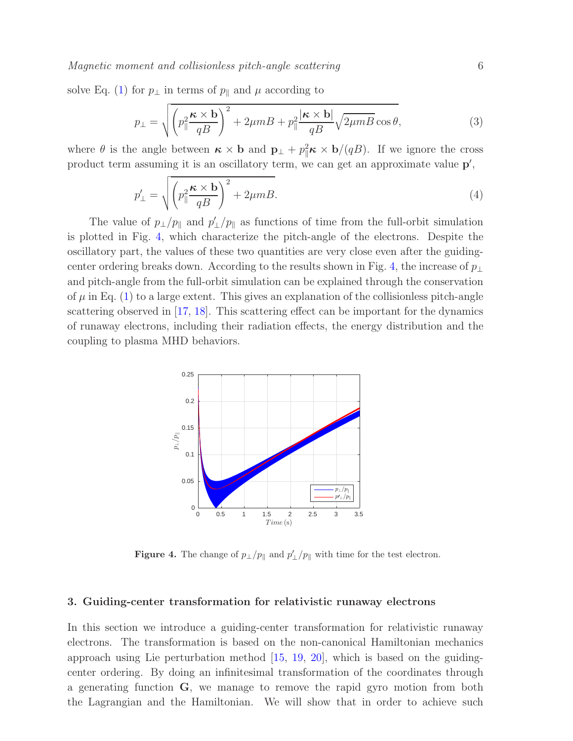solve Eq. [\(1\)](#page-2-1) for  $p_{\perp}$  in terms of  $p_{\parallel}$  and  $\mu$  according to

<span id="page-5-2"></span>
$$
p_{\perp} = \sqrt{\left(p_{\parallel}^2 \frac{\kappa \times \mathbf{b}}{qB}\right)^2 + 2\mu mB + p_{\parallel}^2 \frac{|\kappa \times \mathbf{b}|}{qB} \sqrt{2\mu mB} \cos \theta},\tag{3}
$$

where  $\theta$  is the angle between  $\kappa \times \mathbf{b}$  and  $\mathbf{p}_{\perp} + p_{\parallel}^2 \kappa \times \mathbf{b}/(qB)$ . If we ignore the cross product term assuming it is an oscillatory term, we can get an approximate value  $p'$ ,

$$
p'_{\perp} = \sqrt{\left(p_{\parallel}^2 \frac{\kappa \times \mathbf{b}}{qB}\right)^2 + 2\mu mB}.
$$
\n(4)

The value of  $p_{\perp}/p_{\parallel}$  and  $p'_{\perp}/p_{\parallel}$  as functions of time from the full-orbit simulation is plotted in Fig. [4,](#page-5-1) which characterize the pitch-angle of the electrons. Despite the oscillatory part, the values of these two quantities are very close even after the guiding-center ordering breaks down. According to the results shown in Fig. [4,](#page-5-1) the increase of  $p_{\perp}$ and pitch-angle from the full-orbit simulation can be explained through the conservation of  $\mu$  in Eq. [\(1\)](#page-2-1) to a large extent. This gives an explanation of the collisionless pitch-angle scattering observed in [\[17](#page-16-1), [18](#page-16-2)]. This scattering effect can be important for the dynamics of runaway electrons, including their radiation effects, the energy distribution and the coupling to plasma MHD behaviors.



<span id="page-5-1"></span>**Figure 4.** The change of  $p_{\perp}/p_{\parallel}$  and  $p'_{\perp}/p_{\parallel}$  with time for the test electron.

#### <span id="page-5-0"></span>3. Guiding-center transformation for relativistic runaway electrons

In this section we introduce a guiding-center transformation for relativistic runaway electrons. The transformation is based on the non-canonical Hamiltonian mechanics approach using Lie perturbation method [\[15](#page-16-3), [19](#page-16-4), [20\]](#page-16-5), which is based on the guidingcenter ordering. By doing an infinitesimal transformation of the coordinates through a generating function G, we manage to remove the rapid gyro motion from both the Lagrangian and the Hamiltonian. We will show that in order to achieve such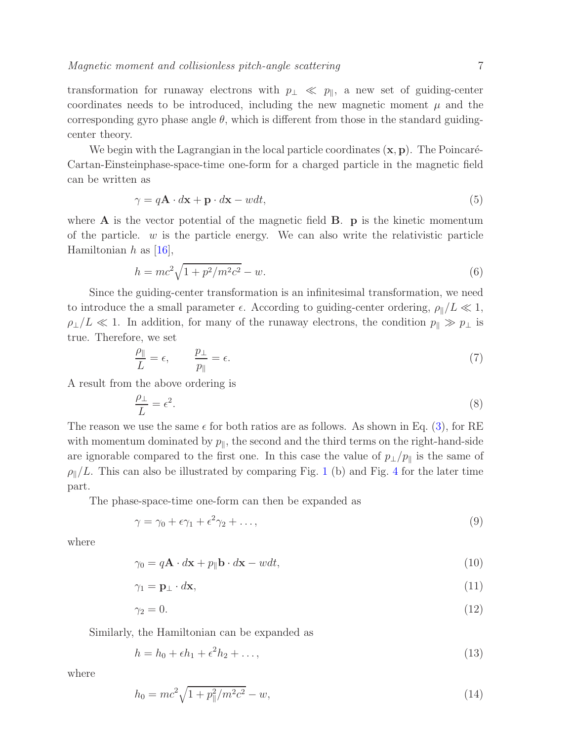We begin with the Lagrangian in the local particle coordinates  $(x, p)$ . The Poincaré-Cartan-Einsteinphase-space-time one-form for a charged particle in the magnetic field can be written as

$$
\gamma = q\mathbf{A} \cdot d\mathbf{x} + \mathbf{p} \cdot d\mathbf{x} - wdt,\tag{5}
$$

where  $\bf{A}$  is the vector potential of the magnetic field  $\bf{B}$ .  $\bf{p}$  is the kinetic momentum of the particle.  $w$  is the particle energy. We can also write the relativistic particle Hamiltonian h as  $[16]$ ,

$$
h = mc^2 \sqrt{1 + p^2/m^2 c^2} - w.
$$
\n(6)

Since the guiding-center transformation is an infinitesimal transformation, we need to introduce the a small parameter  $\epsilon$ . According to guiding-center ordering,  $\rho_{\parallel}/L \ll 1$ ,  $\rho_{\perp}/L \ll 1$ . In addition, for many of the runaway electrons, the condition  $p_{\parallel} \gg p_{\perp}$  is true. Therefore, we set

<span id="page-6-0"></span>
$$
\frac{\rho_{\parallel}}{L} = \epsilon, \qquad \frac{p_{\perp}}{p_{\parallel}} = \epsilon. \tag{7}
$$

A result from the above ordering is

$$
\frac{\rho_{\perp}}{L} = \epsilon^2. \tag{8}
$$

The reason we use the same  $\epsilon$  for both ratios are as follows. As shown in Eq. [\(3\)](#page-5-2), for RE with momentum dominated by  $p_{\parallel}$ , the second and the third terms on the right-hand-side are ignorable compared to the first one. In this case the value of  $p_{\perp}/p_{\parallel}$  is the same of  $\rho_{\parallel}/L$ . This can also be illustrated by comparing Fig. [1](#page-3-0) (b) and Fig. [4](#page-5-1) for the later time part.

The phase-space-time one-form can then be expanded as

$$
\gamma = \gamma_0 + \epsilon \gamma_1 + \epsilon^2 \gamma_2 + \dots,\tag{9}
$$

where

center theory.

$$
\gamma_0 = q\mathbf{A} \cdot d\mathbf{x} + p_{\parallel} \mathbf{b} \cdot d\mathbf{x} - wdt,\tag{10}
$$

$$
\gamma_1 = \mathbf{p}_\perp \cdot d\mathbf{x},\tag{11}
$$

$$
\gamma_2 = 0.\tag{12}
$$

Similarly, the Hamiltonian can be expanded as

$$
h = h_0 + \epsilon h_1 + \epsilon^2 h_2 + \dots,\tag{13}
$$

where

$$
h_0 = mc^2 \sqrt{1 + p_{\parallel}^2 / m^2 c^2} - w,\tag{14}
$$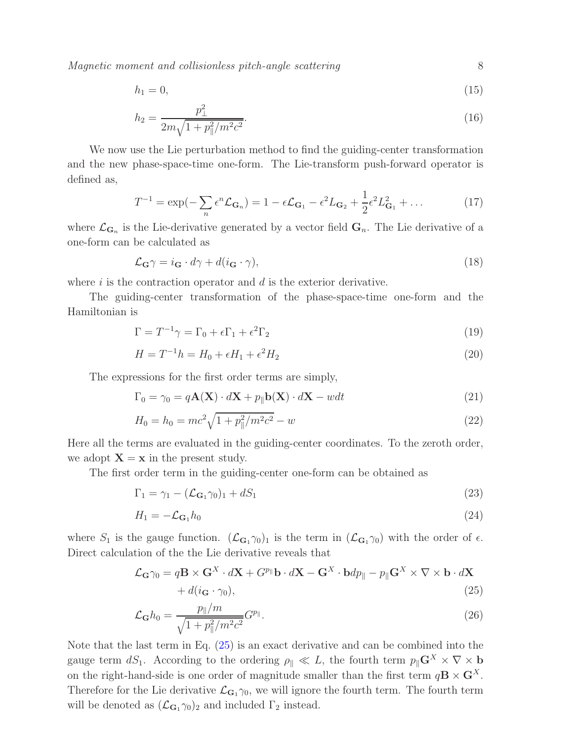$$
h_1 = 0,\t\t(15)
$$

$$
h_2 = \frac{p_\perp^2}{2m\sqrt{1 + p_\parallel^2/m^2c^2}}.\tag{16}
$$

We now use the Lie perturbation method to find the guiding-center transformation and the new phase-space-time one-form. The Lie-transform push-forward operator is defined as,

$$
T^{-1} = \exp(-\sum_{n} \epsilon^n \mathcal{L}_{\mathbf{G}_n}) = 1 - \epsilon \mathcal{L}_{\mathbf{G}_1} - \epsilon^2 L_{\mathbf{G}_2} + \frac{1}{2} \epsilon^2 L_{\mathbf{G}_1}^2 + \dots
$$
 (17)

where  $\mathcal{L}_{\mathbf{G}_n}$  is the Lie-derivative generated by a vector field  $\mathbf{G}_n$ . The Lie derivative of a one-form can be calculated as

$$
\mathcal{L}_{\mathbf{G}}\gamma = i_{\mathbf{G}} \cdot d\gamma + d(i_{\mathbf{G}} \cdot \gamma),\tag{18}
$$

where  $i$  is the contraction operator and  $d$  is the exterior derivative.

The guiding-center transformation of the phase-space-time one-form and the Hamiltonian is

$$
\Gamma = T^{-1}\gamma = \Gamma_0 + \epsilon \Gamma_1 + \epsilon^2 \Gamma_2 \tag{19}
$$

$$
H = T^{-1}h = H_0 + \epsilon H_1 + \epsilon^2 H_2 \tag{20}
$$

The expressions for the first order terms are simply,

$$
\Gamma_0 = \gamma_0 = q\mathbf{A}(\mathbf{X}) \cdot d\mathbf{X} + p_{\parallel} \mathbf{b}(\mathbf{X}) \cdot d\mathbf{X} - wdt
$$
\n(21)

$$
H_0 = h_0 = mc^2 \sqrt{1 + p_{\parallel}^2 / m^2 c^2} - w \tag{22}
$$

Here all the terms are evaluated in the guiding-center coordinates. To the zeroth order, we adopt  $X = x$  in the present study.

The first order term in the guiding-center one-form can be obtained as

$$
\Gamma_1 = \gamma_1 - (\mathcal{L}_{\mathbf{G}_1} \gamma_0)_1 + dS_1 \tag{23}
$$

$$
H_1 = -\mathcal{L}_{\mathbf{G}_1} h_0 \tag{24}
$$

where  $S_1$  is the gauge function.  $(\mathcal{L}_{\mathbf{G}_1}\gamma_0)_1$  is the term in  $(\mathcal{L}_{\mathbf{G}_1}\gamma_0)$  with the order of  $\epsilon$ . Direct calculation of the the Lie derivative reveals that

<span id="page-7-0"></span>
$$
\mathcal{L}_{\mathbf{G}}\gamma_0 = q\mathbf{B} \times \mathbf{G}^X \cdot d\mathbf{X} + G^{p_{\parallel}}\mathbf{b} \cdot d\mathbf{X} - \mathbf{G}^X \cdot \mathbf{b} dp_{\parallel} - p_{\parallel} \mathbf{G}^X \times \nabla \times \mathbf{b} \cdot d\mathbf{X} + d(i_{\mathbf{G}} \cdot \gamma_0),
$$
\n(25)

$$
\mathcal{L}_{\mathbf{G}}h_0 = \frac{p_{\parallel}/m}{\sqrt{1 + p_{\parallel}^2/m^2 c^2}} G^{p_{\parallel}}.
$$
\n(26)

Note that the last term in Eq. [\(25\)](#page-7-0) is an exact derivative and can be combined into the gauge term  $dS_1$ . According to the ordering  $\rho_{\parallel} \ll L$ , the fourth term  $p_{\parallel} \mathbf{G}^X \times \nabla \times \mathbf{b}$ on the right-hand-side is one order of magnitude smaller than the first term  $q\mathbf{B} \times \mathbf{G}^{X}$ . Therefore for the Lie derivative  $\mathcal{L}_{\mathbf{G}_1}\gamma_0$ , we will ignore the fourth term. The fourth term will be denoted as  $(\mathcal{L}_{\mathbf{G}_1} \gamma_0)_2$  and included  $\Gamma_2$  instead.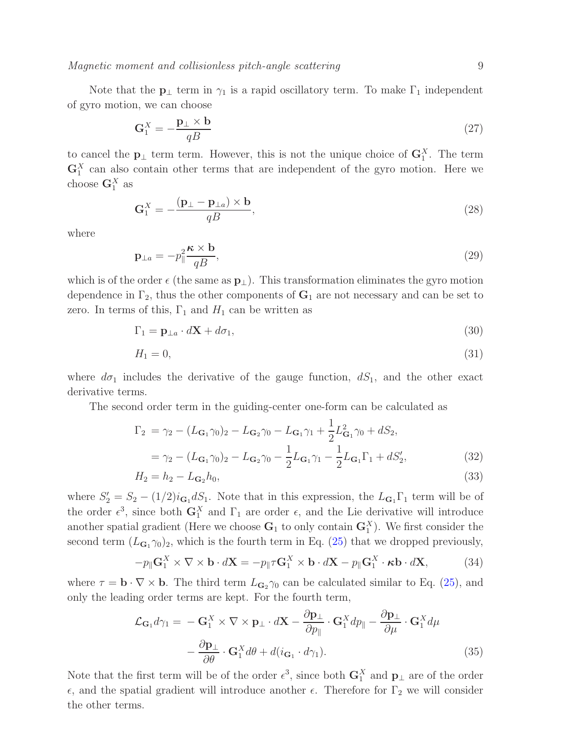Note that the  $\mathbf{p}_{\perp}$  term in  $\gamma_1$  is a rapid oscillatory term. To make  $\Gamma_1$  independent of gyro motion, we can choose

$$
\mathbf{G}_1^X = -\frac{\mathbf{p}_\perp \times \mathbf{b}}{qB} \tag{27}
$$

to cancel the  $\mathbf{p}_{\perp}$  term term. However, this is not the unique choice of  $\mathbf{G}_1^X$ . The term  $\mathbf{G}_1^X$  can also contain other terms that are independent of the gyro motion. Here we choose  $\mathbf{G}_1^X$  as

$$
\mathbf{G}_1^X = -\frac{(\mathbf{p}_\perp - \mathbf{p}_{\perp a}) \times \mathbf{b}}{qB},\tag{28}
$$

where

<span id="page-8-0"></span>
$$
\mathbf{p}_{\perp a} = -p_{\parallel}^2 \frac{\kappa \times \mathbf{b}}{qB},\tag{29}
$$

which is of the order  $\epsilon$  (the same as  $\mathbf{p}_{\perp}$ ). This transformation eliminates the gyro motion dependence in  $\Gamma_2$ , thus the other components of  $G_1$  are not necessary and can be set to zero. In terms of this,  $\Gamma_1$  and  $H_1$  can be written as

$$
\Gamma_1 = \mathbf{p}_{\perp a} \cdot d\mathbf{X} + d\sigma_1,\tag{30}
$$

$$
H_1 = 0,\t\t(31)
$$

where  $d\sigma_1$  includes the derivative of the gauge function,  $dS_1$ , and the other exact derivative terms.

The second order term in the guiding-center one-form can be calculated as

$$
\Gamma_2 = \gamma_2 - (L_{\mathbf{G}_1} \gamma_0)_2 - L_{\mathbf{G}_2} \gamma_0 - L_{\mathbf{G}_1} \gamma_1 + \frac{1}{2} L_{\mathbf{G}_1}^2 \gamma_0 + dS_2,
$$
  
=  $\gamma_2 - (L_{\mathbf{G}_1} \gamma_0)_2 - L_{\mathbf{G}_2} \gamma_0 - \frac{1}{2} L_{\mathbf{G}_1} \gamma_1 - \frac{1}{2} L_{\mathbf{G}_1} \Gamma_1 + dS'_2,$  (32)

$$
H_2 = h_2 - L_{\mathbf{G}_2} h_0,\tag{33}
$$

where  $S'_2 = S_2 - (1/2)i_{\mathbf{G}_1}dS_1$ . Note that in this expression, the  $L_{\mathbf{G}_1}\Gamma_1$  term will be of the order  $\epsilon^3$ , since both  $G_1^X$  and  $\Gamma_1$  are order  $\epsilon$ , and the Lie derivative will introduce another spatial gradient (Here we choose  $G_1$  to only contain  $G_1^X$ ). We first consider the second term  $(L_{\mathbf{G}_1} \gamma_0)_2$ , which is the fourth term in Eq. [\(25\)](#page-7-0) that we dropped previously,

$$
-p_{\parallel} \mathbf{G}_1^X \times \nabla \times \mathbf{b} \cdot d\mathbf{X} = -p_{\parallel} \tau \mathbf{G}_1^X \times \mathbf{b} \cdot d\mathbf{X} - p_{\parallel} \mathbf{G}_1^X \cdot \kappa \mathbf{b} \cdot d\mathbf{X},\tag{34}
$$

where  $\tau = \mathbf{b} \cdot \nabla \times \mathbf{b}$ . The third term  $L_{\mathbf{G}_2} \gamma_0$  can be calculated similar to Eq. [\(25\)](#page-7-0), and only the leading order terms are kept. For the fourth term,

$$
\mathcal{L}_{\mathbf{G}_1} d\gamma_1 = -\mathbf{G}_1^X \times \nabla \times \mathbf{p}_\perp \cdot d\mathbf{X} - \frac{\partial \mathbf{p}_\perp}{\partial p_\parallel} \cdot \mathbf{G}_1^X dp_\parallel - \frac{\partial \mathbf{p}_\perp}{\partial \mu} \cdot \mathbf{G}_1^X d\mu
$$

$$
-\frac{\partial \mathbf{p}_\perp}{\partial \theta} \cdot \mathbf{G}_1^X d\theta + d(i_{\mathbf{G}_1} \cdot d\gamma_1). \tag{35}
$$

Note that the first term will be of the order  $\epsilon^3$ , since both  $\mathbf{G}_1^X$  and  $\mathbf{p}_{\perp}$  are of the order  $\epsilon$ , and the spatial gradient will introduce another  $\epsilon$ . Therefore for  $\Gamma_2$  we will consider the other terms.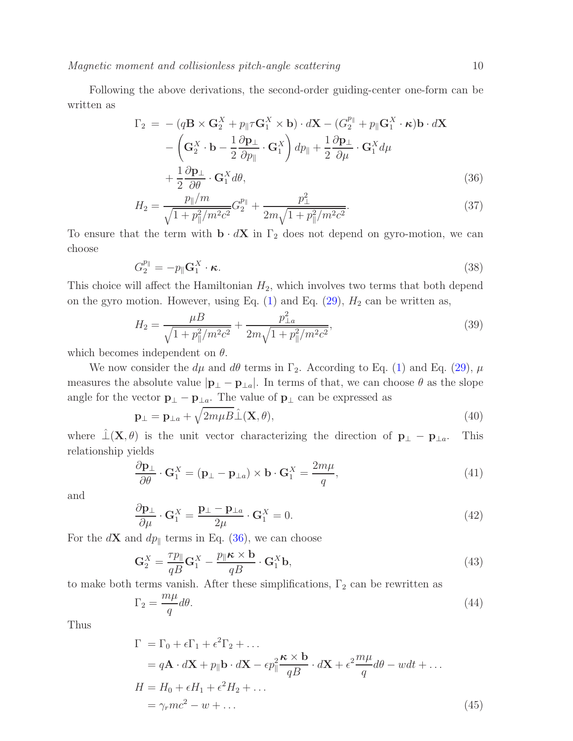Following the above derivations, the second-order guiding-center one-form can be written as

<span id="page-9-0"></span>
$$
\Gamma_2 = - (q\mathbf{B} \times \mathbf{G}_2^X + p_{\parallel} \tau \mathbf{G}_1^X \times \mathbf{b}) \cdot d\mathbf{X} - (G_2^{p_{\parallel}} + p_{\parallel} \mathbf{G}_1^X \cdot \boldsymbol{\kappa}) \mathbf{b} \cdot d\mathbf{X} - \left( \mathbf{G}_2^X \cdot \mathbf{b} - \frac{1}{2} \frac{\partial \mathbf{p}_{\perp}}{\partial p_{\parallel}} \cdot \mathbf{G}_1^X \right) dp_{\parallel} + \frac{1}{2} \frac{\partial \mathbf{p}_{\perp}}{\partial \mu} \cdot \mathbf{G}_1^X d\mu + \frac{1}{2} \frac{\partial \mathbf{p}_{\perp}}{\partial \theta} \cdot \mathbf{G}_1^X d\theta,
$$
 (36)

$$
H_2 = \frac{p_{\parallel}/m}{\sqrt{1 + p_{\parallel}^2/m^2 c^2}} G_2^{p_{\parallel}} + \frac{p_{\perp}^2}{2m\sqrt{1 + p_{\parallel}^2/m^2 c^2}}.
$$
\n(37)

To ensure that the term with  $\mathbf{b} \cdot d\mathbf{X}$  in  $\Gamma_2$  does not depend on gyro-motion, we can choose

$$
G_2^{p_{\parallel}} = -p_{\parallel} \mathbf{G}_1^X \cdot \boldsymbol{\kappa}.
$$
\n(38)

This choice will affect the Hamiltonian  $H_2$ , which involves two terms that both depend on the gyro motion. However, using Eq.  $(1)$  and Eq.  $(29)$ ,  $H_2$  can be written as,

$$
H_2 = \frac{\mu B}{\sqrt{1 + p_{\parallel}^2 / m^2 c^2}} + \frac{p_{\perp a}^2}{2m\sqrt{1 + p_{\parallel}^2 / m^2 c^2}},\tag{39}
$$

which becomes independent on  $\theta$ .

We now consider the  $d\mu$  and  $d\theta$  terms in  $\Gamma_2$ . According to Eq. [\(1\)](#page-2-1) and Eq. [\(29\)](#page-8-0),  $\mu$ measures the absolute value  $|\mathbf{p}_{\perp} - \mathbf{p}_{\perp a}|$ . In terms of that, we can choose  $\theta$  as the slope angle for the vector  $\mathbf{p}_{\perp} - \mathbf{p}_{\perp a}$ . The value of  $\mathbf{p}_{\perp}$  can be expressed as

$$
\mathbf{p}_{\perp} = \mathbf{p}_{\perp a} + \sqrt{2m\mu B} \hat{\perp}(\mathbf{X}, \theta), \tag{40}
$$

where  $\hat{\perp}(\mathbf{X}, \theta)$  is the unit vector characterizing the direction of  $\mathbf{p}_{\perp} - \mathbf{p}_{\perp a}$ . This relationship yields

$$
\frac{\partial \mathbf{p}_{\perp}}{\partial \theta} \cdot \mathbf{G}_1^X = (\mathbf{p}_{\perp} - \mathbf{p}_{\perp a}) \times \mathbf{b} \cdot \mathbf{G}_1^X = \frac{2m\mu}{q},\tag{41}
$$

and

$$
\frac{\partial \mathbf{p}_{\perp}}{\partial \mu} \cdot \mathbf{G}_1^X = \frac{\mathbf{p}_{\perp} - \mathbf{p}_{\perp a}}{2\mu} \cdot \mathbf{G}_1^X = 0.
$$
 (42)

For the  $d\mathbf{X}$  and  $dp_{\parallel}$  terms in Eq. [\(36\)](#page-9-0), we can choose

$$
\mathbf{G}_2^X = \frac{\tau p_{\parallel}}{qB} \mathbf{G}_1^X - \frac{p_{\parallel} \kappa \times \mathbf{b}}{qB} \cdot \mathbf{G}_1^X \mathbf{b},\tag{43}
$$

to make both terms vanish. After these simplifications,  $\Gamma_2$  can be rewritten as

$$
\Gamma_2 = \frac{m\mu}{q} d\theta. \tag{44}
$$

Thus

$$
\Gamma = \Gamma_0 + \epsilon \Gamma_1 + \epsilon^2 \Gamma_2 + \dots
$$
  
\n
$$
= q\mathbf{A} \cdot d\mathbf{X} + p_{\parallel} \mathbf{b} \cdot d\mathbf{X} - \epsilon p_{\parallel}^2 \frac{\kappa \times \mathbf{b}}{qB} \cdot d\mathbf{X} + \epsilon^2 \frac{m\mu}{q} d\theta - w dt + \dots
$$
  
\n
$$
H = H_0 + \epsilon H_1 + \epsilon^2 H_2 + \dots
$$
  
\n
$$
= \gamma_r mc^2 - w + \dots
$$
\n(45)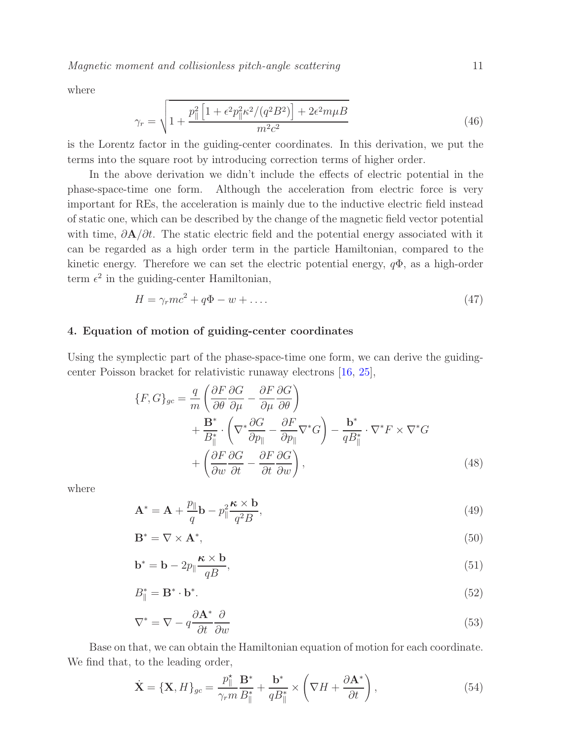where

$$
\gamma_r = \sqrt{1 + \frac{p_{\parallel}^2 \left[1 + \epsilon^2 p_{\parallel}^2 \kappa^2 / (q^2 B^2)\right] + 2\epsilon^2 m \mu B}{m^2 c^2}}
$$
(46)

is the Lorentz factor in the guiding-center coordinates. In this derivation, we put the terms into the square root by introducing correction terms of higher order.

In the above derivation we didn't include the effects of electric potential in the phase-space-time one form. Although the acceleration from electric force is very important for REs, the acceleration is mainly due to the inductive electric field instead of static one, which can be described by the change of the magnetic field vector potential with time,  $\partial \mathbf{A}/\partial t$ . The static electric field and the potential energy associated with it can be regarded as a high order term in the particle Hamiltonian, compared to the kinetic energy. Therefore we can set the electric potential energy,  $q\Phi$ , as a high-order term  $\epsilon^2$  in the guiding-center Hamiltonian,

$$
H = \gamma_r mc^2 + q\Phi - w + \dots \tag{47}
$$

#### <span id="page-10-0"></span>4. Equation of motion of guiding-center coordinates

Using the symplectic part of the phase-space-time one form, we can derive the guidingcenter Poisson bracket for relativistic runaway electrons [\[16](#page-16-0), [25](#page-16-9)],

$$
\{F, G\}_{gc} = \frac{q}{m} \left( \frac{\partial F}{\partial \theta} \frac{\partial G}{\partial \mu} - \frac{\partial F}{\partial \mu} \frac{\partial G}{\partial \theta} \right) \n+ \frac{\mathbf{B}^*}{B^*_{\parallel}} \cdot \left( \nabla^* \frac{\partial G}{\partial p_{\parallel}} - \frac{\partial F}{\partial p_{\parallel}} \nabla^* G \right) - \frac{\mathbf{b}^*}{q B^*_{\parallel}} \cdot \nabla^* F \times \nabla^* G \n+ \left( \frac{\partial F}{\partial w} \frac{\partial G}{\partial t} - \frac{\partial F}{\partial t} \frac{\partial G}{\partial w} \right),
$$
\n(48)

where

$$
\mathbf{A}^* = \mathbf{A} + \frac{p_{\parallel}}{q} \mathbf{b} - p_{\parallel}^2 \frac{\kappa \times \mathbf{b}}{q^2 B},\tag{49}
$$

$$
\mathbf{B}^* = \nabla \times \mathbf{A}^*,\tag{50}
$$

$$
\mathbf{b}^* = \mathbf{b} - 2p_{\parallel} \frac{\kappa \times \mathbf{b}}{qB},\tag{51}
$$

$$
B_{\parallel}^* = \mathbf{B}^* \cdot \mathbf{b}^*.
$$
 (52)

$$
\nabla^* = \nabla - q \frac{\partial \mathbf{A}^*}{\partial t} \frac{\partial}{\partial w} \tag{53}
$$

Base on that, we can obtain the Hamiltonian equation of motion for each coordinate. We find that, to the leading order,

$$
\dot{\mathbf{X}} = \{\mathbf{X}, H\}_{gc} = \frac{p_{\parallel}^{*}}{\gamma_r m} \frac{\mathbf{B}^*}{B_{\parallel}^*} + \frac{\mathbf{b}^*}{q B_{\parallel}^*} \times \left(\nabla H + \frac{\partial \mathbf{A}^*}{\partial t}\right),\tag{54}
$$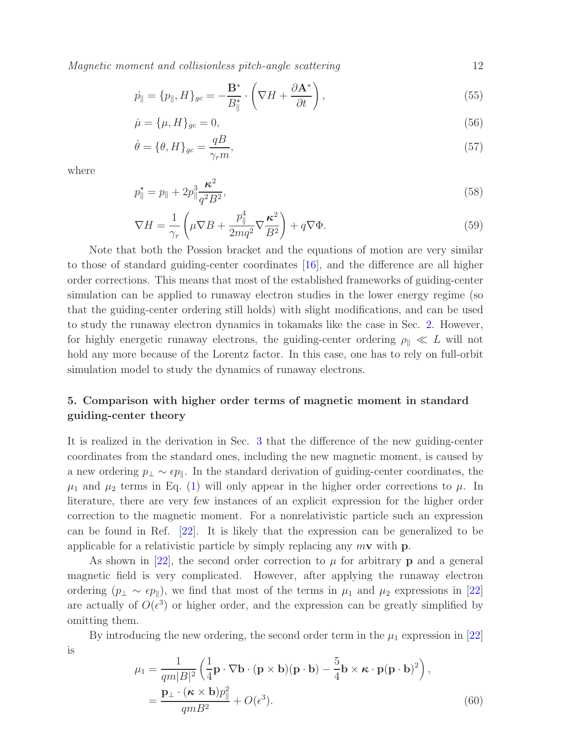$\alpha$ 

$$
\dot{p}_{\parallel} = \{p_{\parallel}, H\}_{gc} = -\frac{\mathbf{B}^*}{B_{\parallel}^*} \cdot \left(\nabla H + \frac{\partial \mathbf{A}^*}{\partial t}\right),\tag{55}
$$

$$
\dot{\mu} = {\mu, H}_{gc} = 0,\tag{56}
$$

$$
\dot{\theta} = \{\theta, H\}_{gc} = \frac{qB}{\gamma_r m},\tag{57}
$$

where

$$
p_{\parallel}^{\star} = p_{\parallel} + 2p_{\parallel}^3 \frac{\kappa^2}{q^2 B^2},\tag{58}
$$

$$
\nabla H = \frac{1}{\gamma_r} \left( \mu \nabla B + \frac{p_{\parallel}^4}{2mq^2} \nabla \frac{\kappa^2}{B^2} \right) + q \nabla \Phi. \tag{59}
$$

Note that both the Possion bracket and the equations of motion are very similar to those of standard guiding-center coordinates [\[16\]](#page-16-0), and the difference are all higher order corrections. This means that most of the established frameworks of guiding-center simulation can be applied to runaway electron studies in the lower energy regime (so that the guiding-center ordering still holds) with slight modifications, and can be used to study the runaway electron dynamics in tokamaks like the case in Sec. [2.](#page-2-0) However, for highly energetic runaway electrons, the guiding-center ordering  $\rho_{\parallel} \ll L$  will not hold any more because of the Lorentz factor. In this case, one has to rely on full-orbit simulation model to study the dynamics of runaway electrons.

## <span id="page-11-0"></span>5. Comparison with higher order terms of magnetic moment in standard guiding-center theory

It is realized in the derivation in Sec. [3](#page-5-0) that the difference of the new guiding-center coordinates from the standard ones, including the new magnetic moment, is caused by a new ordering  $p_{\perp} \sim \epsilon p_{\parallel}$ . In the standard derivation of guiding-center coordinates, the  $\mu_1$  and  $\mu_2$  terms in Eq. [\(1\)](#page-2-1) will only appear in the higher order corrections to  $\mu$ . In literature, there are very few instances of an explicit expression for the higher order correction to the magnetic moment. For a nonrelativistic particle such an expression can be found in Ref. [\[22](#page-16-8)]. It is likely that the expression can be generalized to be applicable for a relativistic particle by simply replacing any  $m\mathbf{v}$  with **p**.

As shown in [\[22\]](#page-16-8), the second order correction to  $\mu$  for arbitrary **p** and a general magnetic field is very complicated. However, after applying the runaway electron ordering  $(p_{\perp} \sim \epsilon p_{\parallel})$ , we find that most of the terms in  $\mu_1$  and  $\mu_2$  expressions in [\[22](#page-16-8)] are actually of  $O(\epsilon^3)$  or higher order, and the expression can be greatly simplified by omitting them.

By introducing the new ordering, the second order term in the  $\mu_1$  expression in [\[22](#page-16-8)] is

$$
\mu_1 = \frac{1}{qm|B|^2} \left( \frac{1}{4} \mathbf{p} \cdot \nabla \mathbf{b} \cdot (\mathbf{p} \times \mathbf{b})(\mathbf{p} \cdot \mathbf{b}) - \frac{5}{4} \mathbf{b} \times \boldsymbol{\kappa} \cdot \mathbf{p} (\mathbf{p} \cdot \mathbf{b})^2 \right),
$$
  
= 
$$
\frac{\mathbf{p}_\perp \cdot (\boldsymbol{\kappa} \times \mathbf{b}) p_{\parallel}^2}{qmB^2} + O(\epsilon^3).
$$
 (60)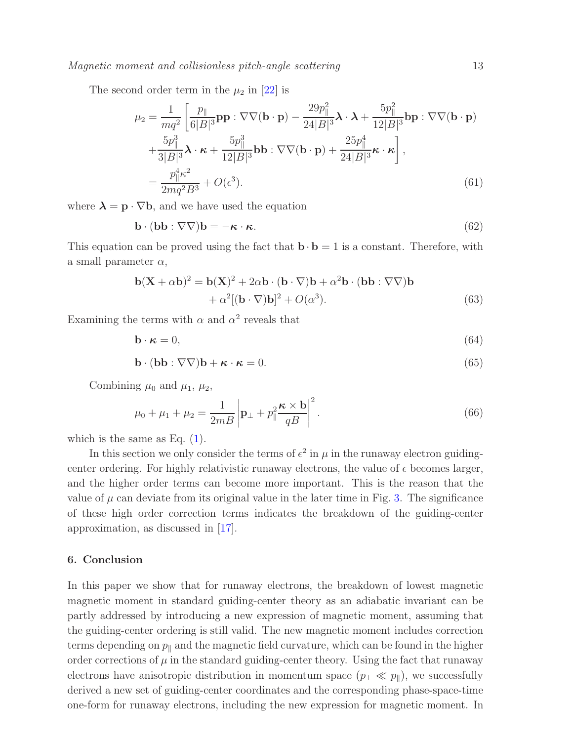The second order term in the  $\mu_2$  in [\[22\]](#page-16-8) is

$$
\mu_2 = \frac{1}{mq^2} \left[ \frac{p_{\parallel}}{6|B|^3} \mathbf{pp} : \nabla \nabla (\mathbf{b} \cdot \mathbf{p}) - \frac{29p_{\parallel}^2}{24|B|^3} \mathbf{\lambda} \cdot \mathbf{\lambda} + \frac{5p_{\parallel}^2}{12|B|^3} \mathbf{bp} : \nabla \nabla (\mathbf{b} \cdot \mathbf{p}) \right]
$$
  
+ 
$$
\frac{5p_{\parallel}^3}{3|B|^3} \mathbf{\lambda} \cdot \mathbf{\kappa} + \frac{5p_{\parallel}^3}{12|B|^3} \mathbf{bb} : \nabla \nabla (\mathbf{b} \cdot \mathbf{p}) + \frac{25p_{\parallel}^4}{24|B|^3} \mathbf{\kappa} \cdot \mathbf{\kappa} \right],
$$
  
= 
$$
\frac{p_{\parallel}^4 \kappa^2}{2mq^2 B^3} + O(\epsilon^3).
$$
 (61)

where  $\lambda = \mathbf{p} \cdot \nabla \mathbf{b}$ , and we have used the equation

$$
\mathbf{b} \cdot (\mathbf{b} \mathbf{b} : \nabla \nabla) \mathbf{b} = -\boldsymbol{\kappa} \cdot \boldsymbol{\kappa}.\tag{62}
$$

This equation can be proved using the fact that  $\mathbf{b} \cdot \mathbf{b} = 1$  is a constant. Therefore, with a small parameter  $\alpha$ ,

$$
\mathbf{b}(\mathbf{X} + \alpha \mathbf{b})^2 = \mathbf{b}(\mathbf{X})^2 + 2\alpha \mathbf{b} \cdot (\mathbf{b} \cdot \nabla)\mathbf{b} + \alpha^2 \mathbf{b} \cdot (\mathbf{b} \mathbf{b} : \nabla \nabla)\mathbf{b} + \alpha^2 [(\mathbf{b} \cdot \nabla)\mathbf{b}]^2 + O(\alpha^3).
$$
 (63)

Examining the terms with  $\alpha$  and  $\alpha^2$  reveals that

$$
\mathbf{b} \cdot \mathbf{\kappa} = 0,\tag{64}
$$

 $\mathbf{b} \cdot (\mathbf{b} \mathbf{b} : \nabla \nabla) \mathbf{b} + \boldsymbol{\kappa} \cdot \boldsymbol{\kappa} = 0.$  (65)

Combining  $\mu_0$  and  $\mu_1$ ,  $\mu_2$ ,

$$
\mu_0 + \mu_1 + \mu_2 = \frac{1}{2m} \left| \mathbf{p}_\perp + p_\parallel^2 \frac{\boldsymbol{\kappa} \times \mathbf{b}}{q} \right|^2.
$$
\n(66)

which is the same as Eq.  $(1)$ .

In this section we only consider the terms of  $\epsilon^2$  in  $\mu$  in the runaway electron guidingcenter ordering. For highly relativistic runaway electrons, the value of  $\epsilon$  becomes larger, and the higher order terms can become more important. This is the reason that the value of  $\mu$  can deviate from its original value in the later time in Fig. [3.](#page-4-1) The significance of these high order correction terms indicates the breakdown of the guiding-center approximation, as discussed in [\[17](#page-16-1)].

#### <span id="page-12-0"></span>6. Conclusion

In this paper we show that for runaway electrons, the breakdown of lowest magnetic magnetic moment in standard guiding-center theory as an adiabatic invariant can be partly addressed by introducing a new expression of magnetic moment, assuming that the guiding-center ordering is still valid. The new magnetic moment includes correction terms depending on  $p_{\parallel}$  and the magnetic field curvature, which can be found in the higher order corrections of  $\mu$  in the standard guiding-center theory. Using the fact that runaway electrons have anisotropic distribution in momentum space  $(p_\perp \ll p_\parallel)$ , we successfully derived a new set of guiding-center coordinates and the corresponding phase-space-time one-form for runaway electrons, including the new expression for magnetic moment. In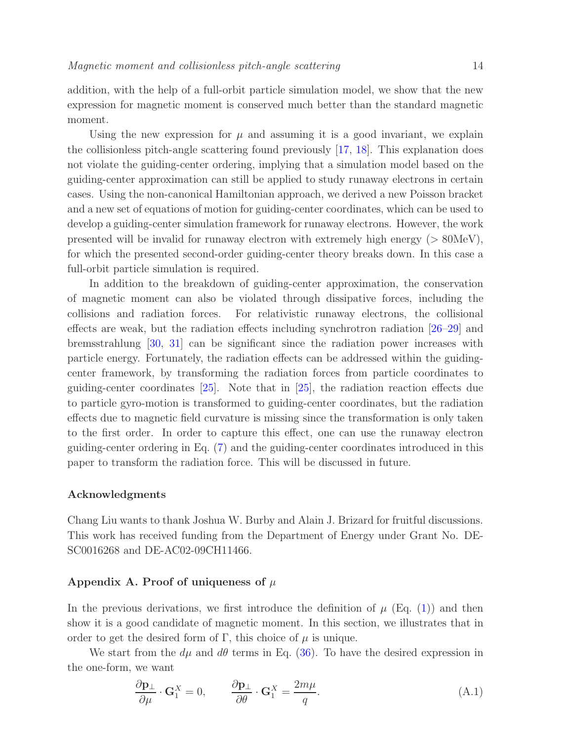addition, with the help of a full-orbit particle simulation model, we show that the new expression for magnetic moment is conserved much better than the standard magnetic moment.

Using the new expression for  $\mu$  and assuming it is a good invariant, we explain the collisionless pitch-angle scattering found previously [\[17](#page-16-1), [18](#page-16-2)]. This explanation does not violate the guiding-center ordering, implying that a simulation model based on the guiding-center approximation can still be applied to study runaway electrons in certain cases. Using the non-canonical Hamiltonian approach, we derived a new Poisson bracket and a new set of equations of motion for guiding-center coordinates, which can be used to develop a guiding-center simulation framework for runaway electrons. However, the work presented will be invalid for runaway electron with extremely high energy ( $> 80$ MeV), for which the presented second-order guiding-center theory breaks down. In this case a full-orbit particle simulation is required.

In addition to the breakdown of guiding-center approximation, the conservation of magnetic moment can also be violated through dissipative forces, including the collisions and radiation forces. For relativistic runaway electrons, the collisional effects are weak, but the radiation effects including synchrotron radiation [\[26](#page-16-10)[–29](#page-16-11)] and bremsstrahlung [\[30,](#page-16-12) [31\]](#page-16-13) can be significant since the radiation power increases with particle energy. Fortunately, the radiation effects can be addressed within the guidingcenter framework, by transforming the radiation forces from particle coordinates to guiding-center coordinates [\[25](#page-16-9)]. Note that in [\[25](#page-16-9)], the radiation reaction effects due to particle gyro-motion is transformed to guiding-center coordinates, but the radiation effects due to magnetic field curvature is missing since the transformation is only taken to the first order. In order to capture this effect, one can use the runaway electron guiding-center ordering in Eq. [\(7\)](#page-6-0) and the guiding-center coordinates introduced in this paper to transform the radiation force. This will be discussed in future.

#### Acknowledgments

Chang Liu wants to thank Joshua W. Burby and Alain J. Brizard for fruitful discussions. This work has received funding from the Department of Energy under Grant No. DE-SC0016268 and DE-AC02-09CH11466.

#### Appendix A. Proof of uniqueness of  $\mu$

In the previous derivations, we first introduce the definition of  $\mu$  (Eq. [\(1\)](#page-2-1)) and then show it is a good candidate of magnetic moment. In this section, we illustrates that in order to get the desired form of  $\Gamma$ , this choice of  $\mu$  is unique.

We start from the  $d\mu$  and  $d\theta$  terms in Eq. [\(36\)](#page-9-0). To have the desired expression in the one-form, we want

$$
\frac{\partial \mathbf{p}_{\perp}}{\partial \mu} \cdot \mathbf{G}_{1}^{X} = 0, \qquad \frac{\partial \mathbf{p}_{\perp}}{\partial \theta} \cdot \mathbf{G}_{1}^{X} = \frac{2m\mu}{q}.
$$
\n(A.1)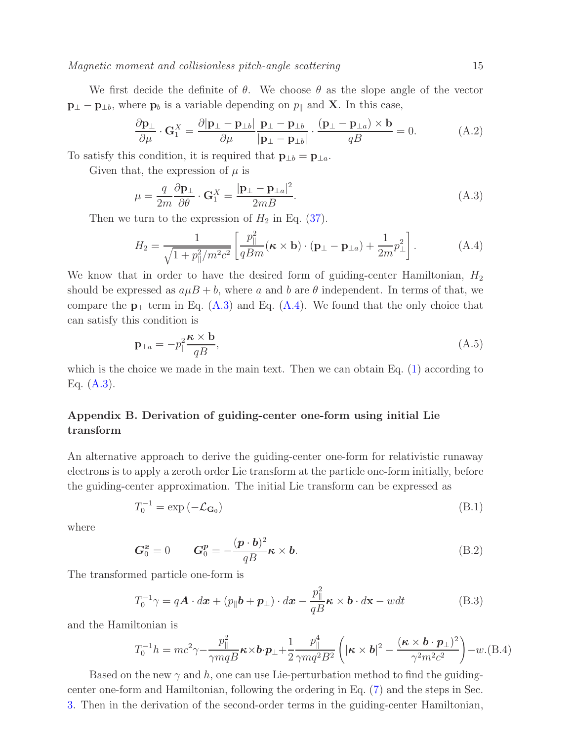We first decide the definite of  $\theta$ . We choose  $\theta$  as the slope angle of the vector  $\mathbf{p}_{\perp} - \mathbf{p}_{\perp b}$ , where  $\mathbf{p}_b$  is a variable depending on  $p_{\parallel}$  and **X**. In this case,

$$
\frac{\partial \mathbf{p}_{\perp}}{\partial \mu} \cdot \mathbf{G}_{1}^{X} = \frac{\partial |\mathbf{p}_{\perp} - \mathbf{p}_{\perp b}|}{\partial \mu} \frac{\mathbf{p}_{\perp} - \mathbf{p}_{\perp b}}{|\mathbf{p}_{\perp} - \mathbf{p}_{\perp b}|} \cdot \frac{(\mathbf{p}_{\perp} - \mathbf{p}_{\perp a}) \times \mathbf{b}}{qB} = 0.
$$
 (A.2)

To satisfy this condition, it is required that  $\mathbf{p}_{\perp b} = \mathbf{p}_{\perp a}$ .

Given that, the expression of  $\mu$  is

<span id="page-14-0"></span>
$$
\mu = \frac{q}{2m} \frac{\partial \mathbf{p}_{\perp}}{\partial \theta} \cdot \mathbf{G}_1^X = \frac{|\mathbf{p}_{\perp} - \mathbf{p}_{\perp a}|^2}{2m}.
$$
\n(A.3)

Then we turn to the expression of  $H_2$  in Eq. [\(37\)](#page-9-0).

<span id="page-14-1"></span>
$$
H_2 = \frac{1}{\sqrt{1 + p_{\parallel}^2/m^2 c^2}} \left[ \frac{p_{\parallel}^2}{qBm} (\boldsymbol{\kappa} \times \mathbf{b}) \cdot (\mathbf{p}_{\perp} - \mathbf{p}_{\perp a}) + \frac{1}{2m} p_{\perp}^2 \right].
$$
 (A.4)

We know that in order to have the desired form of guiding-center Hamiltonian,  $H_2$ should be expressed as  $a\mu B + b$ , where a and b are  $\theta$  independent. In terms of that, we compare the  $\mathbf{p}_{\perp}$  term in Eq. [\(A.3\)](#page-14-0) and Eq. [\(A.4\)](#page-14-1). We found that the only choice that can satisfy this condition is

$$
\mathbf{p}_{\perp a} = -p_{\parallel}^2 \frac{\kappa \times \mathbf{b}}{qB},\tag{A.5}
$$

which is the choice we made in the main text. Then we can obtain Eq. [\(1\)](#page-2-1) according to Eq.  $(A.3)$ .

## Appendix B. Derivation of guiding-center one-form using initial Lie transform

An alternative approach to derive the guiding-center one-form for relativistic runaway electrons is to apply a zeroth order Lie transform at the particle one-form initially, before the guiding-center approximation. The initial Lie transform can be expressed as

$$
T_0^{-1} = \exp\left(-\mathcal{L}_{\mathbf{G}_0}\right) \tag{B.1}
$$

where

<span id="page-14-3"></span>
$$
G_0^x = 0 \t G_0^p = -\frac{(p \cdot b)^2}{qB} \kappa \times b. \t (B.2)
$$

The transformed particle one-form is

$$
T_0^{-1}\gamma = q\mathbf{A} \cdot d\mathbf{x} + (p_{\parallel}\mathbf{b} + \mathbf{p}_{\perp}) \cdot d\mathbf{x} - \frac{p_{\parallel}^2}{qB}\mathbf{\kappa} \times \mathbf{b} \cdot d\mathbf{x} - wdt
$$
 (B.3)

and the Hamiltonian is

<span id="page-14-2"></span>
$$
T_0^{-1}h = mc^2\gamma - \frac{p_{\parallel}^2}{\gamma mqB} \kappa \times b \cdot p_{\perp} + \frac{1}{2} \frac{p_{\parallel}^4}{\gamma mq^2 B^2} \left( |\kappa \times b|^2 - \frac{(\kappa \times b \cdot p_{\perp})^2}{\gamma^2 m^2 c^2} \right) - w. \text{(B.4)}
$$

Based on the new  $\gamma$  and h, one can use Lie-perturbation method to find the guidingcenter one-form and Hamiltonian, following the ordering in Eq. [\(7\)](#page-6-0) and the steps in Sec. [3.](#page-5-0) Then in the derivation of the second-order terms in the guiding-center Hamiltonian,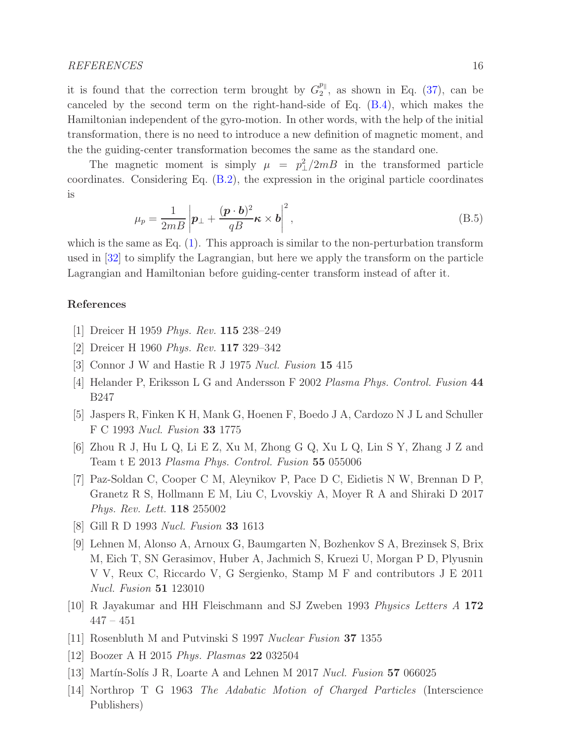#### *REFERENCES* 16

it is found that the correction term brought by  $G_2^{p_{\parallel}}$ , as shown in Eq. [\(37\)](#page-9-0), can be canceled by the second term on the right-hand-side of Eq. [\(B.4\)](#page-14-2), which makes the Hamiltonian independent of the gyro-motion. In other words, with the help of the initial transformation, there is no need to introduce a new definition of magnetic moment, and the the guiding-center transformation becomes the same as the standard one.

The magnetic moment is simply  $\mu = p_{\perp}^2/2mB$  in the transformed particle coordinates. Considering Eq. [\(B.2\)](#page-14-3), the expression in the original particle coordinates is

$$
\mu_p = \frac{1}{2m} \left| \boldsymbol{p}_{\perp} + \frac{(\boldsymbol{p} \cdot \boldsymbol{b})^2}{qB} \boldsymbol{\kappa} \times \boldsymbol{b} \right|^2, \tag{B.5}
$$

which is the same as Eq.  $(1)$ . This approach is similar to the non-perturbation transform used in [\[32\]](#page-16-14) to simplify the Lagrangian, but here we apply the transform on the particle Lagrangian and Hamiltonian before guiding-center transform instead of after it.

### References

- <span id="page-15-0"></span>[1] Dreicer H 1959 *Phys. Rev.* 115 238–249
- [2] Dreicer H 1960 *Phys. Rev.* 117 329–342
- <span id="page-15-1"></span>[3] Connor J W and Hastie R J 1975 *Nucl. Fusion* 15 415
- <span id="page-15-2"></span>[4] Helander P, Eriksson L G and Andersson F 2002 *Plasma Phys. Control. Fusion* 44 B247
- <span id="page-15-3"></span>[5] Jaspers R, Finken K H, Mank G, Hoenen F, Boedo J A, Cardozo N J L and Schuller F C 1993 *Nucl. Fusion* 33 1775
- <span id="page-15-4"></span>[6] Zhou R J, Hu L Q, Li E Z, Xu M, Zhong G Q, Xu L Q, Lin S Y, Zhang J Z and Team t E 2013 *Plasma Phys. Control. Fusion* 55 055006
- <span id="page-15-5"></span>[7] Paz-Soldan C, Cooper C M, Aleynikov P, Pace D C, Eidietis N W, Brennan D P, Granetz R S, Hollmann E M, Liu C, Lvovskiy A, Moyer R A and Shiraki D 2017 *Phys. Rev. Lett.* 118 255002
- <span id="page-15-6"></span>[8] Gill R D 1993 *Nucl. Fusion* 33 1613
- <span id="page-15-7"></span>[9] Lehnen M, Alonso A, Arnoux G, Baumgarten N, Bozhenkov S A, Brezinsek S, Brix M, Eich T, SN Gerasimov, Huber A, Jachmich S, Kruezi U, Morgan P D, Plyusnin V V, Reux C, Riccardo V, G Sergienko, Stamp M F and contributors J E 2011 *Nucl. Fusion* 51 123010
- <span id="page-15-8"></span>[10] R Jayakumar and HH Fleischmann and SJ Zweben 1993 *Physics Letters A* 172  $447 - 451$
- [11] Rosenbluth M and Putvinski S 1997 *Nuclear Fusion* 37 1355
- [12] Boozer A H 2015 *Phys. Plasmas* 22 032504
- <span id="page-15-9"></span>[13] Mart´ın-Sol´ıs J R, Loarte A and Lehnen M 2017 *Nucl. Fusion* 57 066025
- <span id="page-15-10"></span>[14] Northrop T G 1963 *The Adabatic Motion of Charged Particles* (Interscience Publishers)